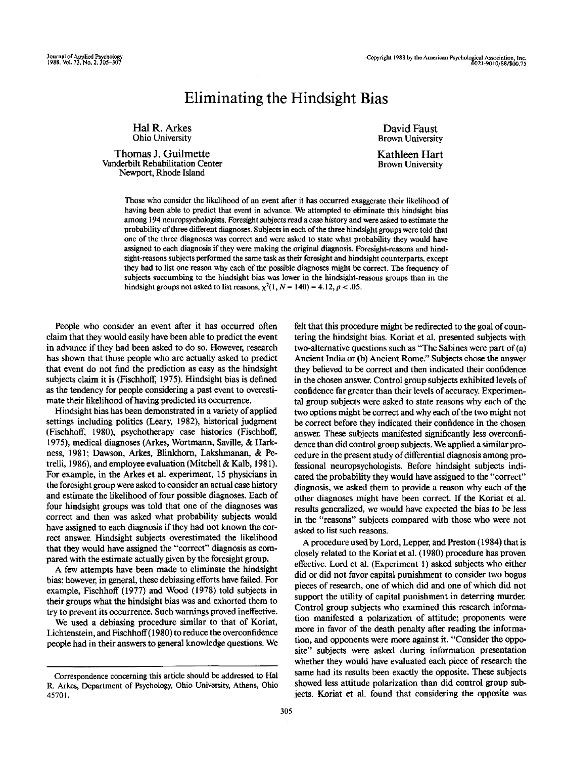# Eliminating the Hindsight Bias

Hal R. Arkes Ohio University

Thomas J. Guilmette Vanderbilt Rehabilitation Center Newport, Rhode Island

David Faust Brown University

Kathleen Hart Brown University

Those who consider the likelihood of an event after it has occurred exaggerate their likelihood of having been able to predict that event in advance. We attempted to eliminate this hindsight bias among 194 neuropsychologists. Foresight subjects read a case history and were asked to estimate the probability of three different diagnoses. Subjects in each of the three hindsight groups were told that one of the three diagnoses was correct and were asked to state what probability they would have assigned to each diagnosis if they were making the original diagnosis. Foresight-reasons and hindsight-reasons subjects performed the same task as their foresight and hindsight counterparts, except they had to list one reason why each of the possible diagnoses might be correct. The frequency of subjects succumbing to the hindsight bias was lower in the hindsight-reasons groups than in the hindsight groups not asked to list reasons,  $\chi^2(1, N = 140) = 4.12, p < .05$ .

People who consider an event after it has occurred often claim that they would easily have been able to predict the event in advance if they had been asked to do so. However, research has shown that those people who are actually asked to predict that event do not find the prediction as easy as the hindsight subjects claim it is (Fischhoff, 1975). Hindsight bias is defined as the tendency for people considering a past event to overestimate their likelihood of having predicted its occurrence.

Hindsight bias has been demonstrated in a variety of applied settings including politics (Leary, 1982), historical judgment (Fischhoff, 1980), psychotherapy case histories (Fischhoff, 1975), medical diagnoses (Arkes, Wortmann, Saville, & Harkness, 1981; Dawson, Arkes, Blinkhorn, Lakshmanan, & Petrelli, 1986), and employee evaluation (Mitchell & Kalb, 1981). For example, in the Arkes et al. experiment, 15 physicians in the foresight group were asked to consider an actual case history and estimate the likelihood of four possible diagnoses. Each of four hindsight groups was told that one of the diagnoses was correct and then was asked what probability subjects would have assigned to each diagnosis if they had not known the correct answer. Hindsight subjects overestimated the likelihood that they would have assigned the "correct" diagnosis as compared with the estimate actually given by the foresight group.

A few attempts have been made to eliminate the hindsight bias; however, in general, these debiasing efforts have failed. For example, Fischhoff (1977) and Wood (1978) told subjects in their groups what the hindsight bias was and exhorted them to try to prevent its occurrence. Such warnings proved ineffective.

We used a debiasing procedure similar to that of Koriat, Lichtenstein, and Fischhoff (1980) to reduce the overconfidence people had in their answers to general knowledge questions. We felt that this procedure might be redirected to the goal of countering the hindsight bias. Koriat et al. presented subjects with two-alternative questions such as "The Sabines were part of (a) Ancient India or (b) Ancient Rome." Subjects chose the answer they believed to be correct and then indicated their confidence in the chosen answer. Control group subjects exhibited levels of confidence far greater than their levels of accuracy. Experimental group subjects were asked to state reasons why each of the two options might be correct and why each of the two might not be correct before they indicated their confidence in the chosen answer. These subjects manifested significantly less overconfidence than did control group subjects. We applied a similar procedure in the present study of differential diagnosis among professional neuropsychologists. Before hindsight subjects indicated the probability they would have assigned to the "correct" diagnosis, we asked them to provide a reason why each of the other diagnoses might have been correct. If the Koriat et al. results generalized, we would have expected the bias to be less in the "reasons" subjects compared with those who were not asked to list such reasons.

A procedure used by Lord, Lepper, and Preston (1984) that is closely related to the Koriat et al. (1980) procedure has proven effective. Lord et al. (Experiment 1) asked subjects who either did or did not favor capital punishment to consider two bogus pieces of research, one of which did and one of which did not support the utility of capital punishment in deterring murder. Control group subjects who examined this research information manifested a polarization of attitude; proponents were more in favor of the death penalty after reading the information, and opponents were more against it. "Consider the opposite" subjects were asked during information presentation whether they would have evaluated each piece of research the same had its results been exactly the opposite. These subjects showed less attitude polarization than did control group subjects. Koriat et al. found that considering the opposite was

Correspondence concerning this article should be addressed to Hal R. Arkes, Department of Psychology, Ohio University, Athens, Ohio 45701.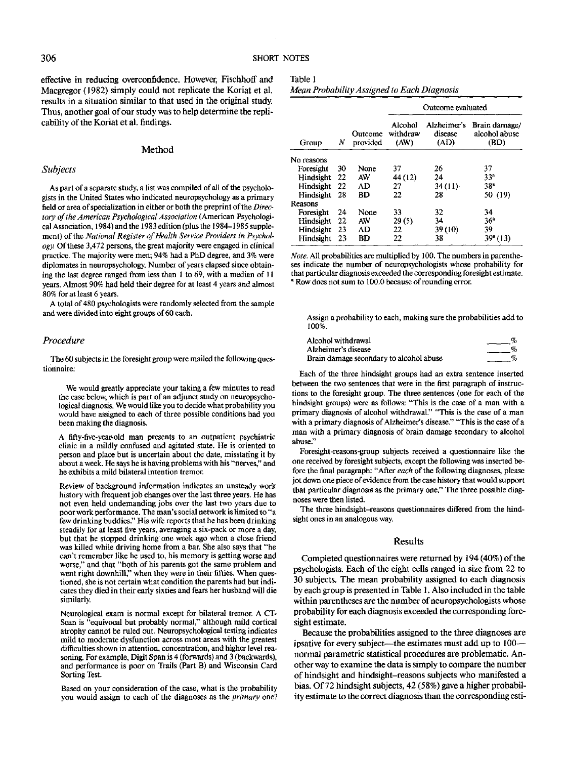effective in reducing overconfidence. However, Fischhoff and Macgregor (1982) simply could not replicate the Koriat et al. results in a situation similar to that used in the original study. Thus, another goal of our study was to help determine the replicability of the Koriat et al. findings.

### Method

## *Subjects*

As part of a separate study, a list was compiled of all of the psychologists in the United States who indicated neuropsychology as a primary field or area of specialization in either or both the preprint of the *Directory of the American Psychological Association* (American Psychological Association, 1984) and the 1983 edition (plus the 1984-1985 supplement) of the *National Register of Health Service Providers in Psychology.* Of these 3,472 persons, the great majority were engaged in clinical practice. The majority were men; 94% had a PhD degree, and 3% were diplomates in neuropsychology. Number of years elapsed since obtaining the last degree ranged from less than 1 to 69, with a median of 11 years. Almost 90% had held their degree for at least 4 years and almost 80% for at least 6 years.

A total of 480 psychologists were randomly selected from the sample and were divided into eight groups of 60 each.

# *Procedure*

The 60 subjects in the foresight group were mailed the following questionnaire:

We would greatly appreciate your taking a few minutes to read the case below, which is part of an adjunct study on neuropsychological diagnosis. We would like you to decide what probability you would have assigned to each of three possible conditions had you been making the diagnosis.

A fifty-five-year-old man presents to an outpatient psychiatric clinic in a mildly confused and agitated state. He is oriented to person and place but is uncertain about the date, misstating it by about a week. He says he is having problems with his "nerves," and he exhibits a mild bilateral intention tremor.

Review of background information indicates an unsteady work history with frequent job changes over the last three years. He has not even held undemanding jobs over the last two years due to poor work performance. The man's social network is limited to "a few drinking buddies." His wife reports that he has been drinking steadily for at least five years, averaging a six-pack or more a day, but that he stopped drinking one week ago when a close friend was killed while driving home from a bar. She also says that "he can't remember like he used to, his memory is getting worse and worse," and that "both of his parents got the same problem and went right downhill," when they were in their fifties. When questioned, she is not certain what condition the parents had but indicates they died in their early sixties and fears her husband will die similarly.

Neurological exam is normal except for bilateral tremor. A CT-Scan is "equivocal but probably normal," although mild cortical atrophy cannot be ruled out. Neuropsychological testing indicates mild to moderate dysfunction across most areas with the greatest difficulties shown in attention, concentration, and higher level reasoning. For example, Digit Span is 4 (forwards) and  $\overline{3}$  (backwards), and performance is poor on Trails (Part B) and Wisconsin Card Sorting Test.

Based on your consideration of the case, what is the probability you would assign to each of the diagnoses as the *primary* one?

| Table 1 |                                             |  |
|---------|---------------------------------------------|--|
|         | Mean Probability Assigned to Each Diagnosis |  |

|            | Ν  | Outcome<br>provided | Outcome evaluated           |                                |                                        |  |
|------------|----|---------------------|-----------------------------|--------------------------------|----------------------------------------|--|
| Group      |    |                     | Alcohol<br>withdraw<br>(AW) | Alzheimer's<br>disease<br>(AD) | Brain damage/<br>alcohol abuse<br>(BD) |  |
| No reasons |    |                     |                             |                                |                                        |  |
| Foresight  | 30 | None                | 37                          | 26                             | 37                                     |  |
| Hindsight  | 22 | AW                  | 44 (12)                     | 24                             | 33 <sup>a</sup>                        |  |
| Hindsight  | 22 | AD                  | 27                          | 34(11)                         | 38 <sup>a</sup>                        |  |
| Hindsight  | 28 | BD                  | 22                          | 28                             | 50 (19)                                |  |
| Reasons    |    |                     |                             |                                |                                        |  |
| Foresight  | 24 | None                | 33                          | 32                             | 34                                     |  |
| Hindsight  | 22 | AW                  | 29(5)                       | 34                             | 36 <sup>a</sup>                        |  |
| Hindsight  | 23 | AD                  | 22                          | 39(10)                         | 39                                     |  |
| Hindsight  | 23 | BD                  | 22                          | 38                             | 39 <sup>a</sup> (13)                   |  |

*Note.* All probabilities are multiplied by 100. The numbers in parentheses indicate the number of neuropsychologists whose probability for that particular diagnosis exceeded the corresponding foresight estimate. <sup>a</sup> Row does not sum to 100.0 because of rounding error.

Assign a probability to each, making sure the probabilities add to 100%.

| Alcohol withdrawal                      | %  |
|-----------------------------------------|----|
| Alzheimer's disease                     |    |
| Brain damage secondary to alcohol abuse | ą, |

Each of the three hindsight groups had an extra sentence inserted between the two sentences that were in the first paragraph of instructions to the foresight group. The three sentences (one for each of the hindsight groups) were as follows: "This is the case of a man with a primary diagnosis of alcohol withdrawal." "This is the case of a man with a primary diagnosis of Alzheimer's disease." "This is the case of a man with a primary diagnosis of brain damage secondary to alcohol abuse."

Foresight-reasons-group subjects received a questionnaire like the one received by foresight subjects, except the following was inserted before the final paragraph: "After *each* of the following diagnoses, please jot down one piece of evidence from the case history that would support that particular diagnosis as the primary one." The three possible diagnoses were then listed.

The three hindsight-reasons questionnaires differed from the hindsight ones in an analogous way.

### Results

Completed questionnaires were returned by 194 (40%) of the psychologists. Each of the eight cells ranged in size from 22 to 30 subjects. The mean probability assigned to each diagnosis by each group is presented in Table 1. Also included in the table within parentheses are the number of neuropsychologists whose probability for each diagnosis exceeded the corresponding foresight estimate.

Because the probabilities assigned to the three diagnoses are ipsative for every subject—the estimates must add up to 100 normal parametric statistical procedures are problematic. Another way to examine the data is simply to compare the number of hindsight and hindsight-reasons subjects who manifested a bias. Of 72 hindsight subjects, 42 (58%) gave a higher probability estimate to the correct diagnosis than the corresponding esti